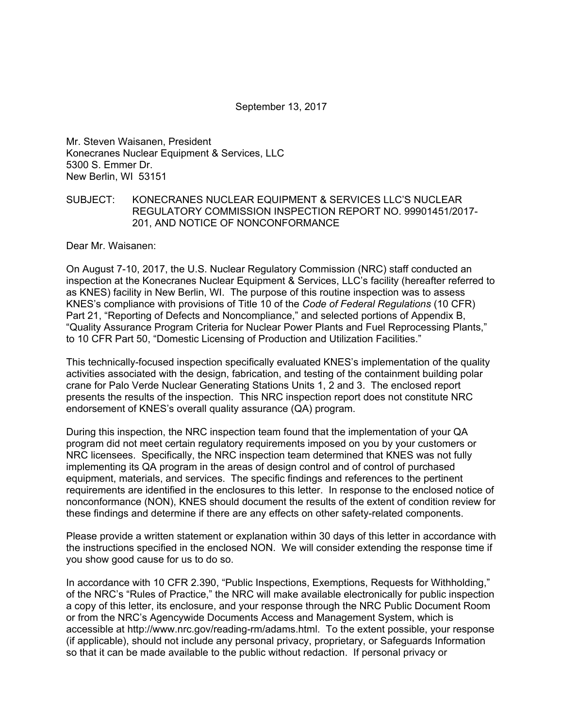September 13, 2017

Mr. Steven Waisanen, President Konecranes Nuclear Equipment & Services, LLC 5300 S. Emmer Dr. New Berlin, WI 53151

#### SUBJECT: KONECRANES NUCLEAR EQUIPMENT & SERVICES LLC'S NUCLEAR REGULATORY COMMISSION INSPECTION REPORT NO. 99901451/2017- 201, AND NOTICE OF NONCONFORMANCE

Dear Mr. Waisanen:

On August 7-10, 2017, the U.S. Nuclear Regulatory Commission (NRC) staff conducted an inspection at the Konecranes Nuclear Equipment & Services, LLC's facility (hereafter referred to as KNES) facility in New Berlin, WI. The purpose of this routine inspection was to assess KNES's compliance with provisions of Title 10 of the *Code of Federal Regulations* (10 CFR) Part 21, "Reporting of Defects and Noncompliance," and selected portions of Appendix B, "Quality Assurance Program Criteria for Nuclear Power Plants and Fuel Reprocessing Plants," to 10 CFR Part 50, "Domestic Licensing of Production and Utilization Facilities."

This technically-focused inspection specifically evaluated KNES's implementation of the quality activities associated with the design, fabrication, and testing of the containment building polar crane for Palo Verde Nuclear Generating Stations Units 1, 2 and 3. The enclosed report presents the results of the inspection. This NRC inspection report does not constitute NRC endorsement of KNES's overall quality assurance (QA) program.

During this inspection, the NRC inspection team found that the implementation of your QA program did not meet certain regulatory requirements imposed on you by your customers or NRC licensees. Specifically, the NRC inspection team determined that KNES was not fully implementing its QA program in the areas of design control and of control of purchased equipment, materials, and services. The specific findings and references to the pertinent requirements are identified in the enclosures to this letter. In response to the enclosed notice of nonconformance (NON), KNES should document the results of the extent of condition review for these findings and determine if there are any effects on other safety-related components.

Please provide a written statement or explanation within 30 days of this letter in accordance with the instructions specified in the enclosed NON. We will consider extending the response time if you show good cause for us to do so.

In accordance with 10 CFR 2.390, "Public Inspections, Exemptions, Requests for Withholding," of the NRC's "Rules of Practice," the NRC will make available electronically for public inspection a copy of this letter, its enclosure, and your response through the NRC Public Document Room or from the NRC's Agencywide Documents Access and Management System, which is accessible at http://www.nrc.gov/reading-rm/adams.html. To the extent possible, your response (if applicable), should not include any personal privacy, proprietary, or Safeguards Information so that it can be made available to the public without redaction. If personal privacy or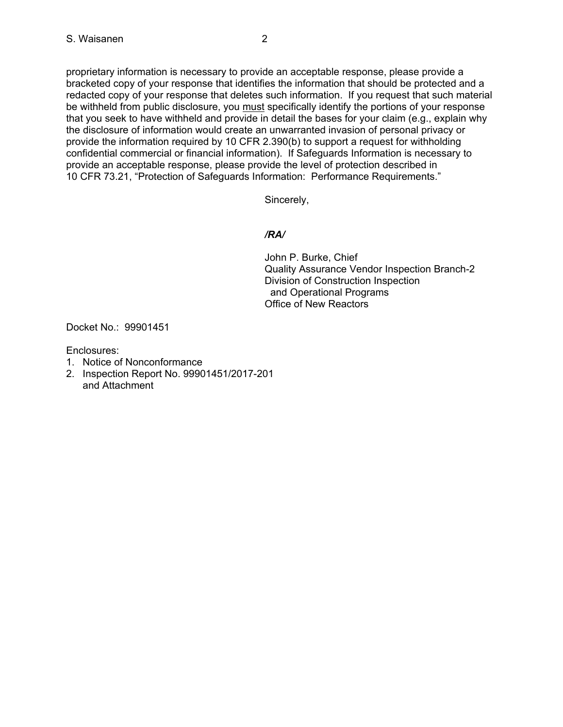proprietary information is necessary to provide an acceptable response, please provide a bracketed copy of your response that identifies the information that should be protected and a redacted copy of your response that deletes such information. If you request that such material be withheld from public disclosure, you must specifically identify the portions of your response that you seek to have withheld and provide in detail the bases for your claim (e.g., explain why the disclosure of information would create an unwarranted invasion of personal privacy or provide the information required by 10 CFR 2.390(b) to support a request for withholding confidential commercial or financial information). If Safeguards Information is necessary to provide an acceptable response, please provide the level of protection described in 10 CFR 73.21, "Protection of Safeguards Information: Performance Requirements."

Sincerely,

## */RA/*

John P. Burke, Chief Quality Assurance Vendor Inspection Branch-2 Division of Construction Inspection and Operational Programs Office of New Reactors

Docket No.: 99901451

Enclosures:

- 1. Notice of Nonconformance
- 2. Inspection Report No. 99901451/2017-201 and Attachment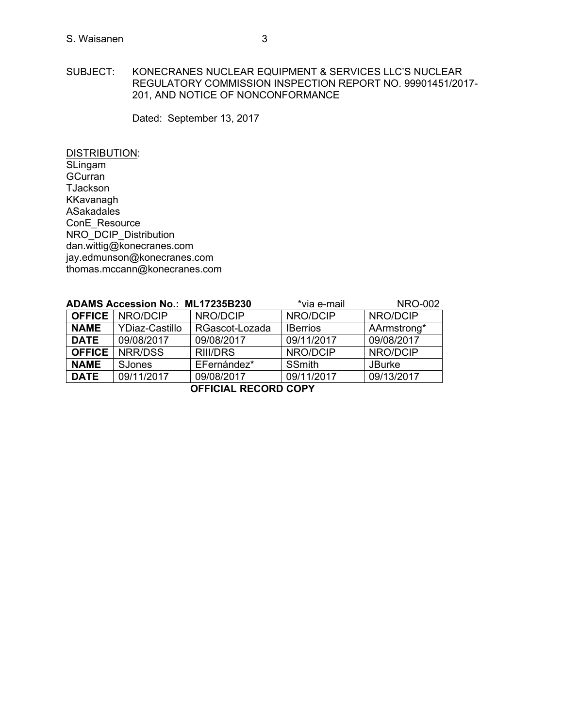## SUBJECT: KONECRANES NUCLEAR EQUIPMENT & SERVICES LLC'S NUCLEAR REGULATORY COMMISSION INSPECTION REPORT NO. 99901451/2017- 201, AND NOTICE OF NONCONFORMANCE

Dated: September 13, 2017

DISTRIBUTION: SLingam **GCurran TJackson** KKavanagh ASakadales ConE\_Resource NRO\_DCIP\_Distribution dan.wittig@konecranes.com jay.edmunson@konecranes.com thomas.mccann@konecranes.com

| <b>ADAMS Accession No.: ML17235B230</b> |                          | *via e-mail     | <b>NRO-002</b>  |               |
|-----------------------------------------|--------------------------|-----------------|-----------------|---------------|
|                                         | <b>OFFICE   NRO/DCIP</b> | NRO/DCIP        | NRO/DCIP        | NRO/DCIP      |
| <b>NAME</b>                             | <b>YDiaz-Castillo</b>    | RGascot-Lozada  | <b>IBerrios</b> | AArmstrong*   |
| <b>DATE</b>                             | 09/08/2017               | 09/08/2017      | 09/11/2017      | 09/08/2017    |
|                                         | <b>OFFICE   NRR/DSS</b>  | <b>RIII/DRS</b> | NRO/DCIP        | NRO/DCIP      |
| <b>NAME</b>                             | <b>SJones</b>            | EFernández*     | <b>SSmith</b>   | <b>JBurke</b> |
| <b>DATE</b>                             | 09/11/2017               | 09/08/2017      | 09/11/2017      | 09/13/2017    |

**OFFICIAL RECORD COPY**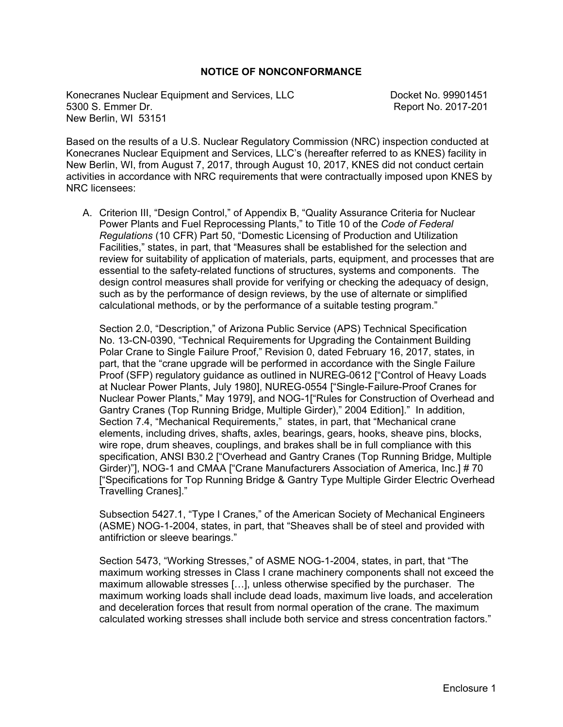#### **NOTICE OF NONCONFORMANCE**

Konecranes Nuclear Equipment and Services, LLC Docket No. 99901451 5300 S. Emmer Dr. Report No. 2017-201 New Berlin, WI 53151

Based on the results of a U.S. Nuclear Regulatory Commission (NRC) inspection conducted at Konecranes Nuclear Equipment and Services, LLC's (hereafter referred to as KNES) facility in New Berlin, WI, from August 7, 2017, through August 10, 2017, KNES did not conduct certain activities in accordance with NRC requirements that were contractually imposed upon KNES by NRC licensees:

A. Criterion III, "Design Control," of Appendix B, "Quality Assurance Criteria for Nuclear Power Plants and Fuel Reprocessing Plants," to Title 10 of the *Code of Federal Regulations* (10 CFR) Part 50, "Domestic Licensing of Production and Utilization Facilities," states, in part, that "Measures shall be established for the selection and review for suitability of application of materials, parts, equipment, and processes that are essential to the safety-related functions of structures, systems and components. The design control measures shall provide for verifying or checking the adequacy of design, such as by the performance of design reviews, by the use of alternate or simplified calculational methods, or by the performance of a suitable testing program."

Section 2.0, "Description," of Arizona Public Service (APS) Technical Specification No. 13-CN-0390, "Technical Requirements for Upgrading the Containment Building Polar Crane to Single Failure Proof," Revision 0, dated February 16, 2017, states, in part, that the "crane upgrade will be performed in accordance with the Single Failure Proof (SFP) regulatory guidance as outlined in NUREG-0612 ["Control of Heavy Loads at Nuclear Power Plants, July 1980], NUREG-0554 ["Single-Failure-Proof Cranes for Nuclear Power Plants," May 1979], and NOG-1["Rules for Construction of Overhead and Gantry Cranes (Top Running Bridge, Multiple Girder)," 2004 Edition]." In addition, Section 7.4, "Mechanical Requirements," states, in part, that "Mechanical crane elements, including drives, shafts, axles, bearings, gears, hooks, sheave pins, blocks, wire rope, drum sheaves, couplings, and brakes shall be in full compliance with this specification, ANSI B30.2 ["Overhead and Gantry Cranes (Top Running Bridge, Multiple Girder)"], NOG-1 and CMAA ["Crane Manufacturers Association of America, Inc.] # 70 ["Specifications for Top Running Bridge & Gantry Type Multiple Girder Electric Overhead Travelling Cranes]."

Subsection 5427.1, "Type I Cranes," of the American Society of Mechanical Engineers (ASME) NOG-1-2004, states, in part, that "Sheaves shall be of steel and provided with antifriction or sleeve bearings."

Section 5473, "Working Stresses," of ASME NOG-1-2004, states, in part, that "The maximum working stresses in Class I crane machinery components shall not exceed the maximum allowable stresses […], unless otherwise specified by the purchaser. The maximum working loads shall include dead loads, maximum live loads, and acceleration and deceleration forces that result from normal operation of the crane. The maximum calculated working stresses shall include both service and stress concentration factors."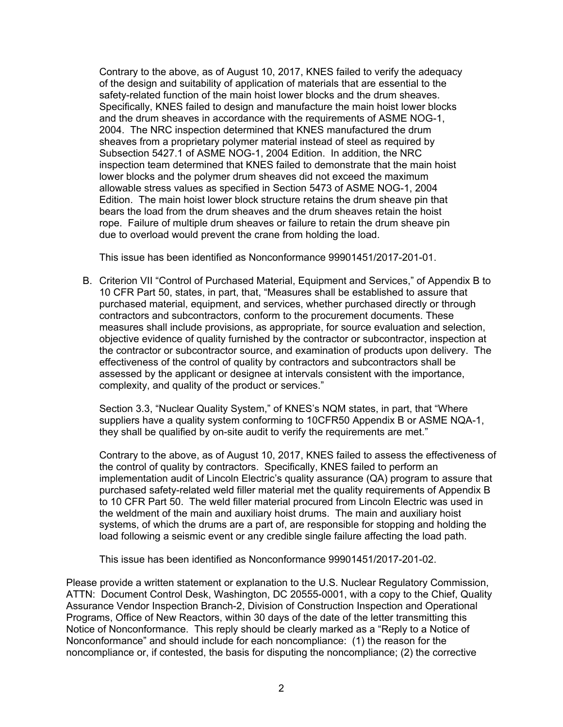Contrary to the above, as of August 10, 2017, KNES failed to verify the adequacy of the design and suitability of application of materials that are essential to the safety-related function of the main hoist lower blocks and the drum sheaves. Specifically, KNES failed to design and manufacture the main hoist lower blocks and the drum sheaves in accordance with the requirements of ASME NOG-1, 2004. The NRC inspection determined that KNES manufactured the drum sheaves from a proprietary polymer material instead of steel as required by Subsection 5427.1 of ASME NOG-1, 2004 Edition. In addition, the NRC inspection team determined that KNES failed to demonstrate that the main hoist lower blocks and the polymer drum sheaves did not exceed the maximum allowable stress values as specified in Section 5473 of ASME NOG-1, 2004 Edition. The main hoist lower block structure retains the drum sheave pin that bears the load from the drum sheaves and the drum sheaves retain the hoist rope. Failure of multiple drum sheaves or failure to retain the drum sheave pin due to overload would prevent the crane from holding the load.

This issue has been identified as Nonconformance 99901451/2017-201-01.

B. Criterion VII "Control of Purchased Material, Equipment and Services," of Appendix B to 10 CFR Part 50, states, in part, that, "Measures shall be established to assure that purchased material, equipment, and services, whether purchased directly or through contractors and subcontractors, conform to the procurement documents. These measures shall include provisions, as appropriate, for source evaluation and selection, objective evidence of quality furnished by the contractor or subcontractor, inspection at the contractor or subcontractor source, and examination of products upon delivery. The effectiveness of the control of quality by contractors and subcontractors shall be assessed by the applicant or designee at intervals consistent with the importance, complexity, and quality of the product or services."

Section 3.3, "Nuclear Quality System," of KNES's NQM states, in part, that "Where suppliers have a quality system conforming to 10CFR50 Appendix B or ASME NQA-1, they shall be qualified by on-site audit to verify the requirements are met."

Contrary to the above, as of August 10, 2017, KNES failed to assess the effectiveness of the control of quality by contractors. Specifically, KNES failed to perform an implementation audit of Lincoln Electric's quality assurance (QA) program to assure that purchased safety-related weld filler material met the quality requirements of Appendix B to 10 CFR Part 50. The weld filler material procured from Lincoln Electric was used in the weldment of the main and auxiliary hoist drums. The main and auxiliary hoist systems, of which the drums are a part of, are responsible for stopping and holding the load following a seismic event or any credible single failure affecting the load path.

This issue has been identified as Nonconformance 99901451/2017-201-02.

Please provide a written statement or explanation to the U.S. Nuclear Regulatory Commission, ATTN: Document Control Desk, Washington, DC 20555-0001, with a copy to the Chief, Quality Assurance Vendor Inspection Branch-2, Division of Construction Inspection and Operational Programs, Office of New Reactors, within 30 days of the date of the letter transmitting this Notice of Nonconformance. This reply should be clearly marked as a "Reply to a Notice of Nonconformance" and should include for each noncompliance: (1) the reason for the noncompliance or, if contested, the basis for disputing the noncompliance; (2) the corrective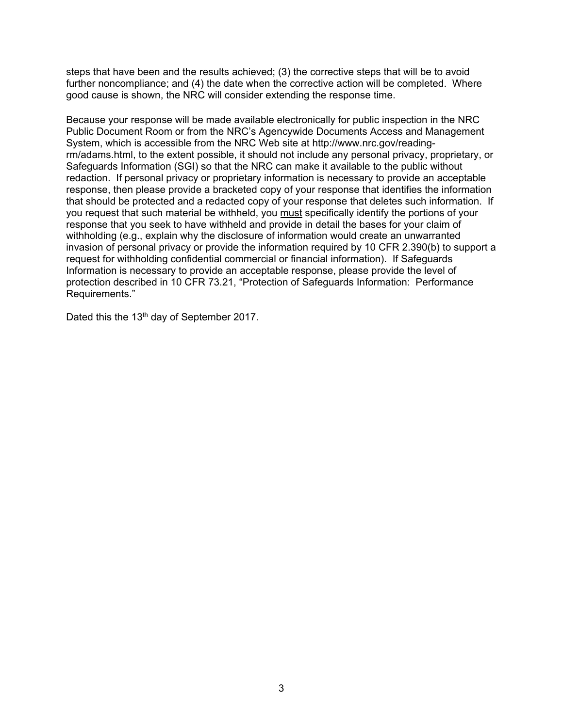steps that have been and the results achieved; (3) the corrective steps that will be to avoid further noncompliance; and (4) the date when the corrective action will be completed. Where good cause is shown, the NRC will consider extending the response time.

Because your response will be made available electronically for public inspection in the NRC Public Document Room or from the NRC's Agencywide Documents Access and Management System, which is accessible from the NRC Web site at http://www.nrc.gov/readingrm/adams.html, to the extent possible, it should not include any personal privacy, proprietary, or Safeguards Information (SGI) so that the NRC can make it available to the public without redaction. If personal privacy or proprietary information is necessary to provide an acceptable response, then please provide a bracketed copy of your response that identifies the information that should be protected and a redacted copy of your response that deletes such information. If you request that such material be withheld, you must specifically identify the portions of your response that you seek to have withheld and provide in detail the bases for your claim of withholding (e.g., explain why the disclosure of information would create an unwarranted invasion of personal privacy or provide the information required by 10 CFR 2.390(b) to support a request for withholding confidential commercial or financial information). If Safeguards Information is necessary to provide an acceptable response, please provide the level of protection described in 10 CFR 73.21, "Protection of Safeguards Information: Performance Requirements."

Dated this the 13<sup>th</sup> day of September 2017.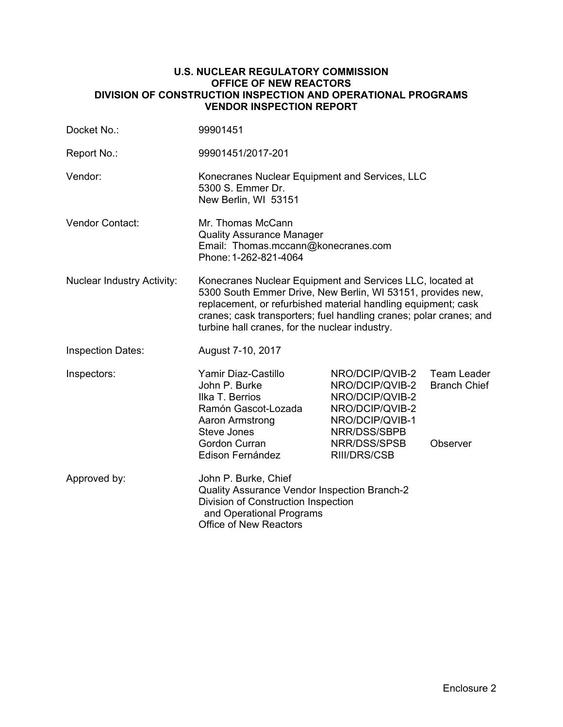## **U.S. NUCLEAR REGULATORY COMMISSION OFFICE OF NEW REACTORS DIVISION OF CONSTRUCTION INSPECTION AND OPERATIONAL PROGRAMS VENDOR INSPECTION REPORT**

| Docket No.:                       | 99901451                                                                                                                                                                                                                                                                                                          |                                                                                                                                             |                                                |  |
|-----------------------------------|-------------------------------------------------------------------------------------------------------------------------------------------------------------------------------------------------------------------------------------------------------------------------------------------------------------------|---------------------------------------------------------------------------------------------------------------------------------------------|------------------------------------------------|--|
| Report No.:                       | 99901451/2017-201                                                                                                                                                                                                                                                                                                 |                                                                                                                                             |                                                |  |
| Vendor:                           | Konecranes Nuclear Equipment and Services, LLC<br>5300 S. Emmer Dr.<br>New Berlin, WI 53151                                                                                                                                                                                                                       |                                                                                                                                             |                                                |  |
| Vendor Contact:                   | Mr. Thomas McCann<br><b>Quality Assurance Manager</b><br>Email: Thomas.mccann@konecranes.com<br>Phone: 1-262-821-4064                                                                                                                                                                                             |                                                                                                                                             |                                                |  |
| <b>Nuclear Industry Activity:</b> | Konecranes Nuclear Equipment and Services LLC, located at<br>5300 South Emmer Drive, New Berlin, WI 53151, provides new,<br>replacement, or refurbished material handling equipment; cask<br>cranes; cask transporters; fuel handling cranes; polar cranes; and<br>turbine hall cranes, for the nuclear industry. |                                                                                                                                             |                                                |  |
| <b>Inspection Dates:</b>          | August 7-10, 2017                                                                                                                                                                                                                                                                                                 |                                                                                                                                             |                                                |  |
| Inspectors:                       | Yamir Diaz-Castillo<br>John P. Burke<br>Ilka T. Berrios<br>Ramón Gascot-Lozada<br>Aaron Armstrong<br>Steve Jones<br>Gordon Curran<br>Edison Fernández                                                                                                                                                             | NRO/DCIP/QVIB-2<br>NRO/DCIP/QVIB-2<br>NRO/DCIP/QVIB-2<br>NRO/DCIP/QVIB-2<br>NRO/DCIP/QVIB-1<br>NRR/DSS/SBPB<br>NRR/DSS/SPSB<br>RIII/DRS/CSB | Team Leader<br><b>Branch Chief</b><br>Observer |  |
| Approved by:                      | John P. Burke, Chief<br>Quality Assurance Vendor Inspection Branch-2<br>Division of Construction Inspection<br>and Operational Programs<br><b>Office of New Reactors</b>                                                                                                                                          |                                                                                                                                             |                                                |  |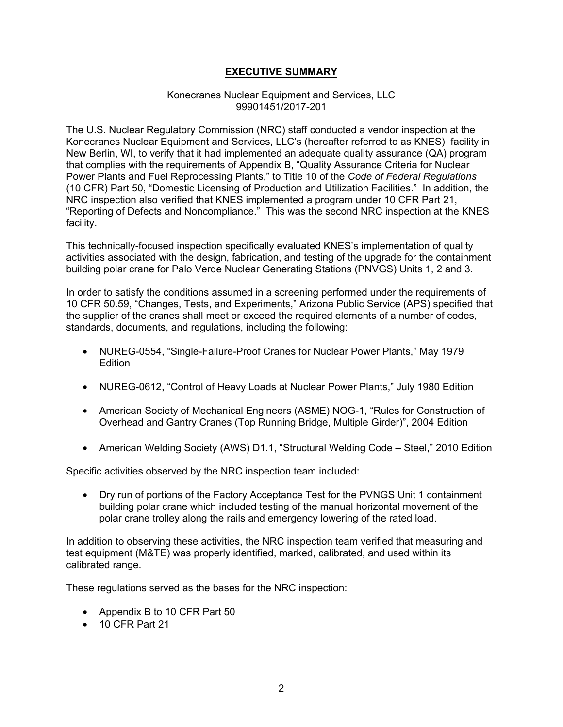## **EXECUTIVE SUMMARY**

#### Konecranes Nuclear Equipment and Services, LLC 99901451/2017-201

The U.S. Nuclear Regulatory Commission (NRC) staff conducted a vendor inspection at the Konecranes Nuclear Equipment and Services, LLC's (hereafter referred to as KNES) facility in New Berlin, WI, to verify that it had implemented an adequate quality assurance (QA) program that complies with the requirements of Appendix B, "Quality Assurance Criteria for Nuclear Power Plants and Fuel Reprocessing Plants," to Title 10 of the *Code of Federal Regulations* (10 CFR) Part 50, "Domestic Licensing of Production and Utilization Facilities." In addition, the NRC inspection also verified that KNES implemented a program under 10 CFR Part 21, "Reporting of Defects and Noncompliance." This was the second NRC inspection at the KNES facility.

This technically-focused inspection specifically evaluated KNES's implementation of quality activities associated with the design, fabrication, and testing of the upgrade for the containment building polar crane for Palo Verde Nuclear Generating Stations (PNVGS) Units 1, 2 and 3.

In order to satisfy the conditions assumed in a screening performed under the requirements of 10 CFR 50.59, "Changes, Tests, and Experiments," Arizona Public Service (APS) specified that the supplier of the cranes shall meet or exceed the required elements of a number of codes, standards, documents, and regulations, including the following:

- NUREG-0554, "Single-Failure-Proof Cranes for Nuclear Power Plants," May 1979 **Edition**
- NUREG-0612, "Control of Heavy Loads at Nuclear Power Plants," July 1980 Edition
- American Society of Mechanical Engineers (ASME) NOG-1, "Rules for Construction of Overhead and Gantry Cranes (Top Running Bridge, Multiple Girder)", 2004 Edition
- American Welding Society (AWS) D1.1, "Structural Welding Code Steel," 2010 Edition

Specific activities observed by the NRC inspection team included:

• Dry run of portions of the Factory Acceptance Test for the PVNGS Unit 1 containment building polar crane which included testing of the manual horizontal movement of the polar crane trolley along the rails and emergency lowering of the rated load.

In addition to observing these activities, the NRC inspection team verified that measuring and test equipment (M&TE) was properly identified, marked, calibrated, and used within its calibrated range.

These regulations served as the bases for the NRC inspection:

- Appendix B to 10 CFR Part 50
- 10 CFR Part 21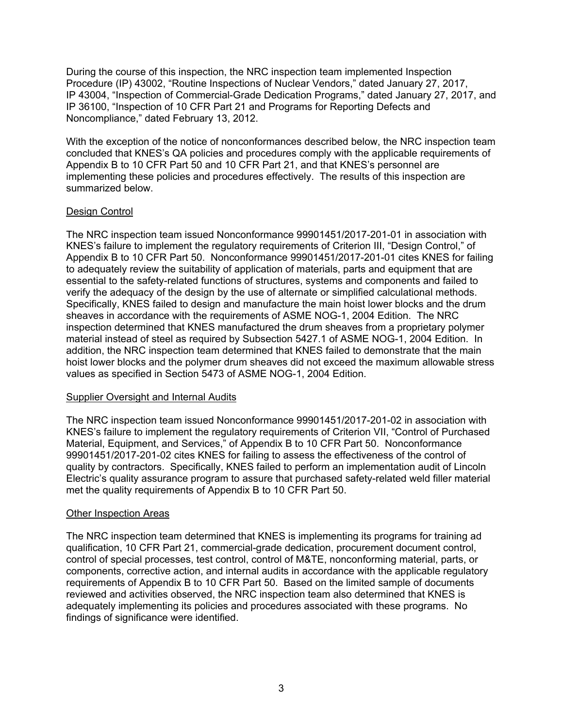During the course of this inspection, the NRC inspection team implemented Inspection Procedure (IP) 43002, "Routine Inspections of Nuclear Vendors," dated January 27, 2017, IP 43004, "Inspection of Commercial-Grade Dedication Programs," dated January 27, 2017, and IP 36100, "Inspection of 10 CFR Part 21 and Programs for Reporting Defects and Noncompliance," dated February 13, 2012.

With the exception of the notice of nonconformances described below, the NRC inspection team concluded that KNES's QA policies and procedures comply with the applicable requirements of Appendix B to 10 CFR Part 50 and 10 CFR Part 21, and that KNES's personnel are implementing these policies and procedures effectively. The results of this inspection are summarized below.

## Design Control

The NRC inspection team issued Nonconformance 99901451/2017-201-01 in association with KNES's failure to implement the regulatory requirements of Criterion III, "Design Control," of Appendix B to 10 CFR Part 50. Nonconformance 99901451/2017-201-01 cites KNES for failing to adequately review the suitability of application of materials, parts and equipment that are essential to the safety-related functions of structures, systems and components and failed to verify the adequacy of the design by the use of alternate or simplified calculational methods. Specifically, KNES failed to design and manufacture the main hoist lower blocks and the drum sheaves in accordance with the requirements of ASME NOG-1, 2004 Edition. The NRC inspection determined that KNES manufactured the drum sheaves from a proprietary polymer material instead of steel as required by Subsection 5427.1 of ASME NOG-1, 2004 Edition. In addition, the NRC inspection team determined that KNES failed to demonstrate that the main hoist lower blocks and the polymer drum sheaves did not exceed the maximum allowable stress values as specified in Section 5473 of ASME NOG-1, 2004 Edition.

## Supplier Oversight and Internal Audits

The NRC inspection team issued Nonconformance 99901451/2017-201-02 in association with KNES's failure to implement the regulatory requirements of Criterion VII, "Control of Purchased Material, Equipment, and Services," of Appendix B to 10 CFR Part 50. Nonconformance 99901451/2017-201-02 cites KNES for failing to assess the effectiveness of the control of quality by contractors. Specifically, KNES failed to perform an implementation audit of Lincoln Electric's quality assurance program to assure that purchased safety-related weld filler material met the quality requirements of Appendix B to 10 CFR Part 50.

## Other Inspection Areas

The NRC inspection team determined that KNES is implementing its programs for training ad qualification, 10 CFR Part 21, commercial-grade dedication, procurement document control, control of special processes, test control, control of M&TE, nonconforming material, parts, or components, corrective action, and internal audits in accordance with the applicable regulatory requirements of Appendix B to 10 CFR Part 50. Based on the limited sample of documents reviewed and activities observed, the NRC inspection team also determined that KNES is adequately implementing its policies and procedures associated with these programs. No findings of significance were identified.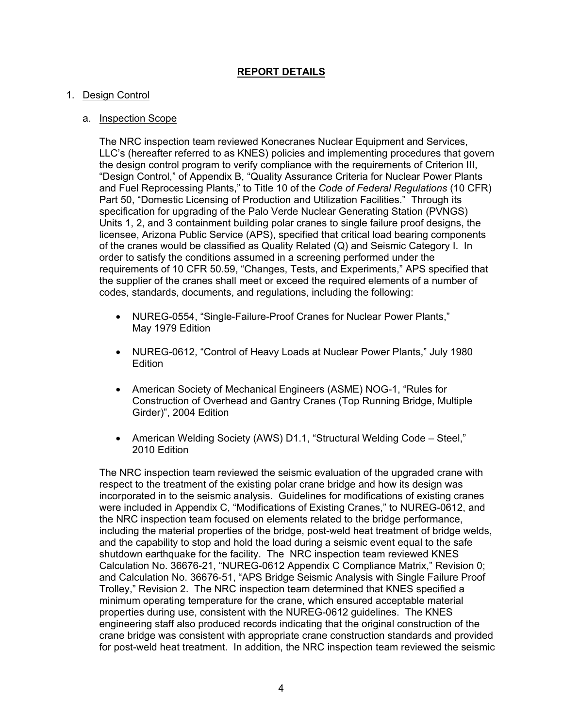# **REPORT DETAILS**

## 1. Design Control

## a. Inspection Scope

The NRC inspection team reviewed Konecranes Nuclear Equipment and Services, LLC's (hereafter referred to as KNES) policies and implementing procedures that govern the design control program to verify compliance with the requirements of Criterion III, "Design Control," of Appendix B, "Quality Assurance Criteria for Nuclear Power Plants and Fuel Reprocessing Plants," to Title 10 of the *Code of Federal Regulations* (10 CFR) Part 50, "Domestic Licensing of Production and Utilization Facilities." Through its specification for upgrading of the Palo Verde Nuclear Generating Station (PVNGS) Units 1, 2, and 3 containment building polar cranes to single failure proof designs, the licensee, Arizona Public Service (APS), specified that critical load bearing components of the cranes would be classified as Quality Related (Q) and Seismic Category I. In order to satisfy the conditions assumed in a screening performed under the requirements of 10 CFR 50.59, "Changes, Tests, and Experiments," APS specified that the supplier of the cranes shall meet or exceed the required elements of a number of codes, standards, documents, and regulations, including the following:

- NUREG-0554, "Single-Failure-Proof Cranes for Nuclear Power Plants," May 1979 Edition
- NUREG-0612, "Control of Heavy Loads at Nuclear Power Plants," July 1980 **Edition**
- American Society of Mechanical Engineers (ASME) NOG-1, "Rules for Construction of Overhead and Gantry Cranes (Top Running Bridge, Multiple Girder)", 2004 Edition
- American Welding Society (AWS) D1.1, "Structural Welding Code Steel," 2010 Edition

The NRC inspection team reviewed the seismic evaluation of the upgraded crane with respect to the treatment of the existing polar crane bridge and how its design was incorporated in to the seismic analysis. Guidelines for modifications of existing cranes were included in Appendix C, "Modifications of Existing Cranes," to NUREG-0612, and the NRC inspection team focused on elements related to the bridge performance, including the material properties of the bridge, post-weld heat treatment of bridge welds, and the capability to stop and hold the load during a seismic event equal to the safe shutdown earthquake for the facility. The NRC inspection team reviewed KNES Calculation No. 36676-21, "NUREG-0612 Appendix C Compliance Matrix," Revision 0; and Calculation No. 36676-51, "APS Bridge Seismic Analysis with Single Failure Proof Trolley," Revision 2. The NRC inspection team determined that KNES specified a minimum operating temperature for the crane, which ensured acceptable material properties during use, consistent with the NUREG-0612 guidelines. The KNES engineering staff also produced records indicating that the original construction of the crane bridge was consistent with appropriate crane construction standards and provided for post-weld heat treatment. In addition, the NRC inspection team reviewed the seismic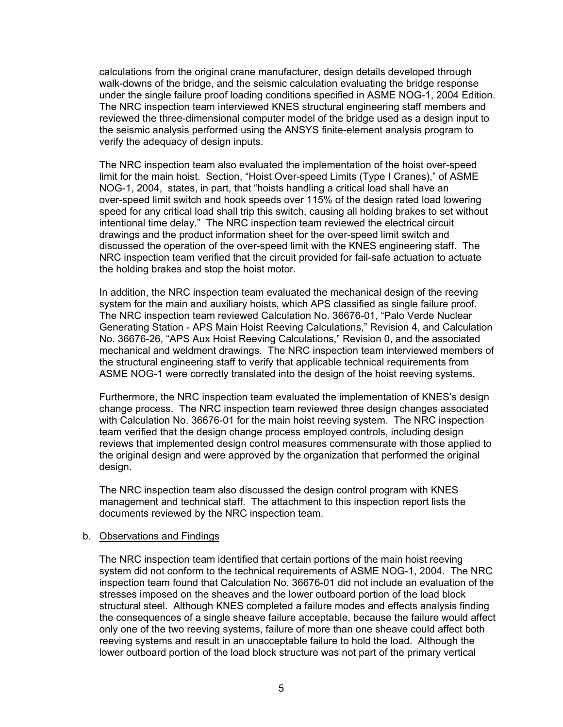calculations from the original crane manufacturer, design details developed through walk-downs of the bridge, and the seismic calculation evaluating the bridge response under the single failure proof loading conditions specified in ASME NOG-1, 2004 Edition. The NRC inspection team interviewed KNES structural engineering staff members and reviewed the three-dimensional computer model of the bridge used as a design input to the seismic analysis performed using the ANSYS finite-element analysis program to verify the adequacy of design inputs.

The NRC inspection team also evaluated the implementation of the hoist over-speed limit for the main hoist. Section, "Hoist Over-speed Limits (Type I Cranes)," of ASME NOG-1, 2004, states, in part, that "hoists handling a critical load shall have an over-speed limit switch and hook speeds over 115% of the design rated load lowering speed for any critical load shall trip this switch, causing all holding brakes to set without intentional time delay." The NRC inspection team reviewed the electrical circuit drawings and the product information sheet for the over-speed limit switch and discussed the operation of the over-speed limit with the KNES engineering staff. The NRC inspection team verified that the circuit provided for fail-safe actuation to actuate the holding brakes and stop the hoist motor.

In addition, the NRC inspection team evaluated the mechanical design of the reeving system for the main and auxiliary hoists, which APS classified as single failure proof. The NRC inspection team reviewed Calculation No. 36676-01, "Palo Verde Nuclear Generating Station - APS Main Hoist Reeving Calculations," Revision 4, and Calculation No. 36676-26, "APS Aux Hoist Reeving Calculations," Revision 0, and the associated mechanical and weldment drawings. The NRC inspection team interviewed members of the structural engineering staff to verify that applicable technical requirements from ASME NOG-1 were correctly translated into the design of the hoist reeving systems.

Furthermore, the NRC inspection team evaluated the implementation of KNES's design change process. The NRC inspection team reviewed three design changes associated with Calculation No. 36676-01 for the main hoist reeving system. The NRC inspection team verified that the design change process employed controls, including design reviews that implemented design control measures commensurate with those applied to the original design and were approved by the organization that performed the original design.

The NRC inspection team also discussed the design control program with KNES management and technical staff. The attachment to this inspection report lists the documents reviewed by the NRC inspection team.

#### b. Observations and Findings

The NRC inspection team identified that certain portions of the main hoist reeving system did not conform to the technical requirements of ASME NOG-1, 2004. The NRC inspection team found that Calculation No. 36676-01 did not include an evaluation of the stresses imposed on the sheaves and the lower outboard portion of the load block structural steel. Although KNES completed a failure modes and effects analysis finding the consequences of a single sheave failure acceptable, because the failure would affect only one of the two reeving systems, failure of more than one sheave could affect both reeving systems and result in an unacceptable failure to hold the load. Although the lower outboard portion of the load block structure was not part of the primary vertical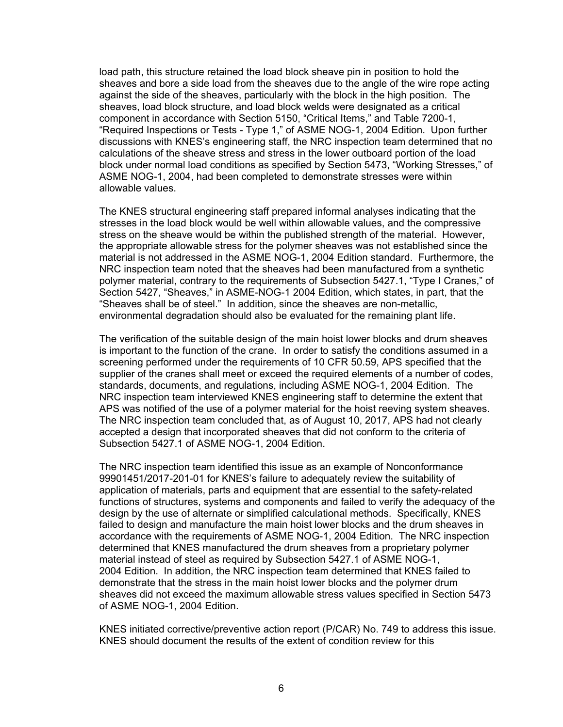load path, this structure retained the load block sheave pin in position to hold the sheaves and bore a side load from the sheaves due to the angle of the wire rope acting against the side of the sheaves, particularly with the block in the high position. The sheaves, load block structure, and load block welds were designated as a critical component in accordance with Section 5150, "Critical Items," and Table 7200-1, "Required Inspections or Tests - Type 1," of ASME NOG-1, 2004 Edition. Upon further discussions with KNES's engineering staff, the NRC inspection team determined that no calculations of the sheave stress and stress in the lower outboard portion of the load block under normal load conditions as specified by Section 5473, "Working Stresses," of ASME NOG-1, 2004, had been completed to demonstrate stresses were within allowable values.

The KNES structural engineering staff prepared informal analyses indicating that the stresses in the load block would be well within allowable values, and the compressive stress on the sheave would be within the published strength of the material. However, the appropriate allowable stress for the polymer sheaves was not established since the material is not addressed in the ASME NOG-1, 2004 Edition standard. Furthermore, the NRC inspection team noted that the sheaves had been manufactured from a synthetic polymer material, contrary to the requirements of Subsection 5427.1, "Type I Cranes," of Section 5427, "Sheaves," in ASME-NOG-1 2004 Edition, which states, in part, that the "Sheaves shall be of steel." In addition, since the sheaves are non-metallic, environmental degradation should also be evaluated for the remaining plant life.

The verification of the suitable design of the main hoist lower blocks and drum sheaves is important to the function of the crane. In order to satisfy the conditions assumed in a screening performed under the requirements of 10 CFR 50.59, APS specified that the supplier of the cranes shall meet or exceed the required elements of a number of codes, standards, documents, and regulations, including ASME NOG-1, 2004 Edition. The NRC inspection team interviewed KNES engineering staff to determine the extent that APS was notified of the use of a polymer material for the hoist reeving system sheaves. The NRC inspection team concluded that, as of August 10, 2017, APS had not clearly accepted a design that incorporated sheaves that did not conform to the criteria of Subsection 5427.1 of ASME NOG-1, 2004 Edition.

The NRC inspection team identified this issue as an example of Nonconformance 99901451/2017-201-01 for KNES's failure to adequately review the suitability of application of materials, parts and equipment that are essential to the safety-related functions of structures, systems and components and failed to verify the adequacy of the design by the use of alternate or simplified calculational methods. Specifically, KNES failed to design and manufacture the main hoist lower blocks and the drum sheaves in accordance with the requirements of ASME NOG-1, 2004 Edition. The NRC inspection determined that KNES manufactured the drum sheaves from a proprietary polymer material instead of steel as required by Subsection 5427.1 of ASME NOG-1, 2004 Edition. In addition, the NRC inspection team determined that KNES failed to demonstrate that the stress in the main hoist lower blocks and the polymer drum sheaves did not exceed the maximum allowable stress values specified in Section 5473 of ASME NOG-1, 2004 Edition.

KNES initiated corrective/preventive action report (P/CAR) No. 749 to address this issue. KNES should document the results of the extent of condition review for this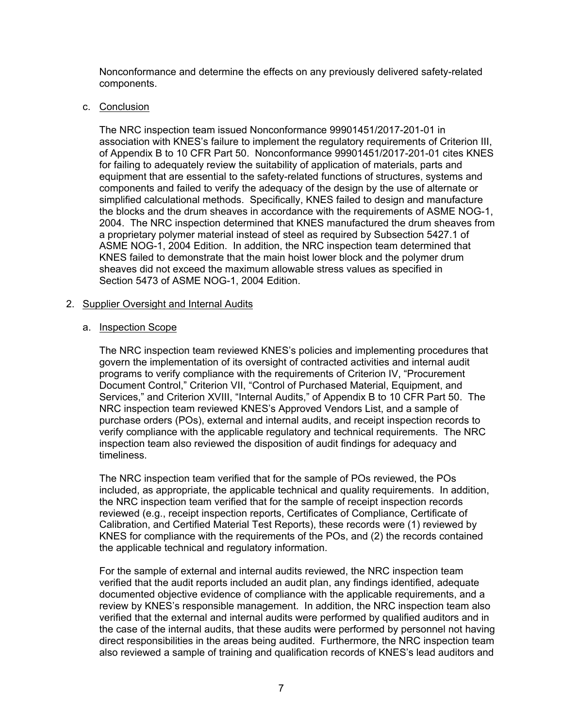Nonconformance and determine the effects on any previously delivered safety-related components.

#### c. Conclusion

The NRC inspection team issued Nonconformance 99901451/2017-201-01 in association with KNES's failure to implement the regulatory requirements of Criterion III, of Appendix B to 10 CFR Part 50. Nonconformance 99901451/2017-201-01 cites KNES for failing to adequately review the suitability of application of materials, parts and equipment that are essential to the safety-related functions of structures, systems and components and failed to verify the adequacy of the design by the use of alternate or simplified calculational methods. Specifically, KNES failed to design and manufacture the blocks and the drum sheaves in accordance with the requirements of ASME NOG-1, 2004. The NRC inspection determined that KNES manufactured the drum sheaves from a proprietary polymer material instead of steel as required by Subsection 5427.1 of ASME NOG-1, 2004 Edition. In addition, the NRC inspection team determined that KNES failed to demonstrate that the main hoist lower block and the polymer drum sheaves did not exceed the maximum allowable stress values as specified in Section 5473 of ASME NOG-1, 2004 Edition.

## 2. Supplier Oversight and Internal Audits

## a. Inspection Scope

The NRC inspection team reviewed KNES's policies and implementing procedures that govern the implementation of its oversight of contracted activities and internal audit programs to verify compliance with the requirements of Criterion IV, "Procurement Document Control," Criterion VII, "Control of Purchased Material, Equipment, and Services," and Criterion XVIII, "Internal Audits," of Appendix B to 10 CFR Part 50. The NRC inspection team reviewed KNES's Approved Vendors List, and a sample of purchase orders (POs), external and internal audits, and receipt inspection records to verify compliance with the applicable regulatory and technical requirements. The NRC inspection team also reviewed the disposition of audit findings for adequacy and timeliness.

The NRC inspection team verified that for the sample of POs reviewed, the POs included, as appropriate, the applicable technical and quality requirements. In addition, the NRC inspection team verified that for the sample of receipt inspection records reviewed (e.g., receipt inspection reports, Certificates of Compliance, Certificate of Calibration, and Certified Material Test Reports), these records were (1) reviewed by KNES for compliance with the requirements of the POs, and (2) the records contained the applicable technical and regulatory information.

For the sample of external and internal audits reviewed, the NRC inspection team verified that the audit reports included an audit plan, any findings identified, adequate documented objective evidence of compliance with the applicable requirements, and a review by KNES's responsible management. In addition, the NRC inspection team also verified that the external and internal audits were performed by qualified auditors and in the case of the internal audits, that these audits were performed by personnel not having direct responsibilities in the areas being audited. Furthermore, the NRC inspection team also reviewed a sample of training and qualification records of KNES's lead auditors and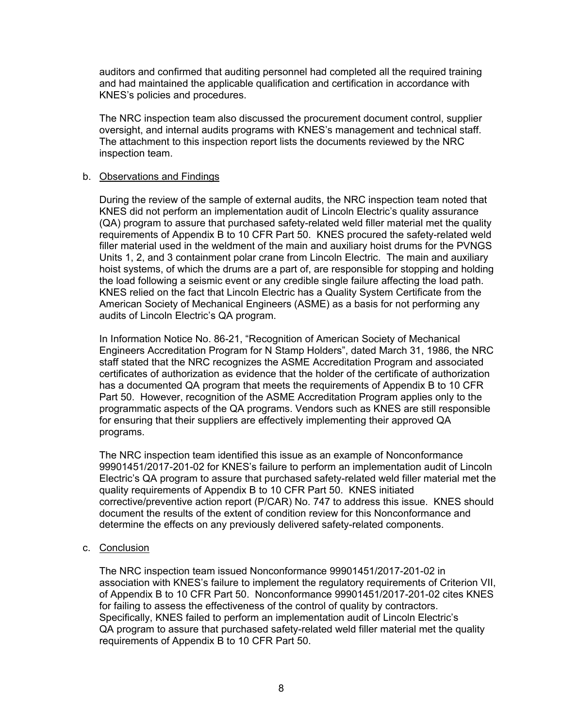auditors and confirmed that auditing personnel had completed all the required training and had maintained the applicable qualification and certification in accordance with KNES's policies and procedures.

The NRC inspection team also discussed the procurement document control, supplier oversight, and internal audits programs with KNES's management and technical staff. The attachment to this inspection report lists the documents reviewed by the NRC inspection team.

#### b. Observations and Findings

During the review of the sample of external audits, the NRC inspection team noted that KNES did not perform an implementation audit of Lincoln Electric's quality assurance (QA) program to assure that purchased safety-related weld filler material met the quality requirements of Appendix B to 10 CFR Part 50. KNES procured the safety-related weld filler material used in the weldment of the main and auxiliary hoist drums for the PVNGS Units 1, 2, and 3 containment polar crane from Lincoln Electric. The main and auxiliary hoist systems, of which the drums are a part of, are responsible for stopping and holding the load following a seismic event or any credible single failure affecting the load path. KNES relied on the fact that Lincoln Electric has a Quality System Certificate from the American Society of Mechanical Engineers (ASME) as a basis for not performing any audits of Lincoln Electric's QA program.

In Information Notice No. 86-21, "Recognition of American Society of Mechanical Engineers Accreditation Program for N Stamp Holders", dated March 31, 1986, the NRC staff stated that the NRC recognizes the ASME Accreditation Program and associated certificates of authorization as evidence that the holder of the certificate of authorization has a documented QA program that meets the requirements of Appendix B to 10 CFR Part 50. However, recognition of the ASME Accreditation Program applies only to the programmatic aspects of the QA programs. Vendors such as KNES are still responsible for ensuring that their suppliers are effectively implementing their approved QA programs.

The NRC inspection team identified this issue as an example of Nonconformance 99901451/2017-201-02 for KNES's failure to perform an implementation audit of Lincoln Electric's QA program to assure that purchased safety-related weld filler material met the quality requirements of Appendix B to 10 CFR Part 50. KNES initiated corrective/preventive action report (P/CAR) No. 747 to address this issue. KNES should document the results of the extent of condition review for this Nonconformance and determine the effects on any previously delivered safety-related components.

#### c. Conclusion

The NRC inspection team issued Nonconformance 99901451/2017-201-02 in association with KNES's failure to implement the regulatory requirements of Criterion VII, of Appendix B to 10 CFR Part 50. Nonconformance 99901451/2017-201-02 cites KNES for failing to assess the effectiveness of the control of quality by contractors. Specifically, KNES failed to perform an implementation audit of Lincoln Electric's QA program to assure that purchased safety-related weld filler material met the quality requirements of Appendix B to 10 CFR Part 50.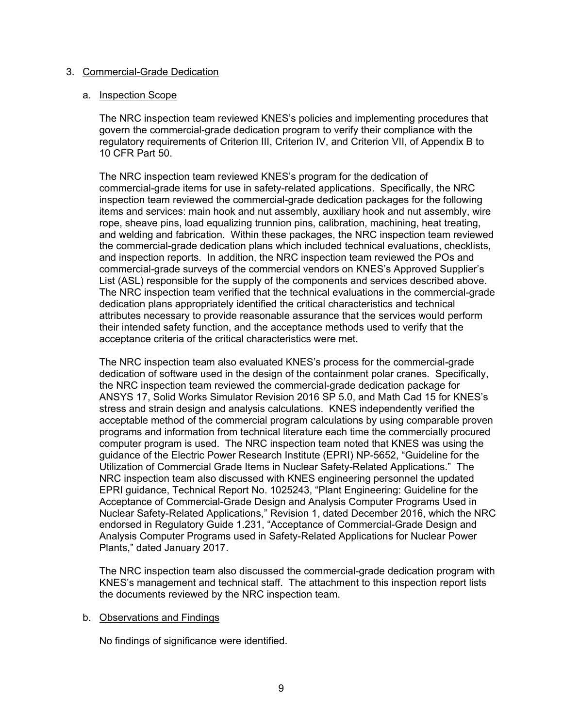#### 3. Commercial-Grade Dedication

#### a. Inspection Scope

The NRC inspection team reviewed KNES's policies and implementing procedures that govern the commercial-grade dedication program to verify their compliance with the regulatory requirements of Criterion III, Criterion IV, and Criterion VII, of Appendix B to 10 CFR Part 50.

The NRC inspection team reviewed KNES's program for the dedication of commercial-grade items for use in safety-related applications. Specifically, the NRC inspection team reviewed the commercial-grade dedication packages for the following items and services: main hook and nut assembly, auxiliary hook and nut assembly, wire rope, sheave pins, load equalizing trunnion pins, calibration, machining, heat treating, and welding and fabrication. Within these packages, the NRC inspection team reviewed the commercial-grade dedication plans which included technical evaluations, checklists, and inspection reports. In addition, the NRC inspection team reviewed the POs and commercial-grade surveys of the commercial vendors on KNES's Approved Supplier's List (ASL) responsible for the supply of the components and services described above. The NRC inspection team verified that the technical evaluations in the commercial-grade dedication plans appropriately identified the critical characteristics and technical attributes necessary to provide reasonable assurance that the services would perform their intended safety function, and the acceptance methods used to verify that the acceptance criteria of the critical characteristics were met.

The NRC inspection team also evaluated KNES's process for the commercial-grade dedication of software used in the design of the containment polar cranes. Specifically, the NRC inspection team reviewed the commercial-grade dedication package for ANSYS 17, Solid Works Simulator Revision 2016 SP 5.0, and Math Cad 15 for KNES's stress and strain design and analysis calculations. KNES independently verified the acceptable method of the commercial program calculations by using comparable proven programs and information from technical literature each time the commercially procured computer program is used. The NRC inspection team noted that KNES was using the guidance of the Electric Power Research Institute (EPRI) NP-5652, "Guideline for the Utilization of Commercial Grade Items in Nuclear Safety-Related Applications." The NRC inspection team also discussed with KNES engineering personnel the updated EPRI guidance, Technical Report No. 1025243, "Plant Engineering: Guideline for the Acceptance of Commercial-Grade Design and Analysis Computer Programs Used in Nuclear Safety-Related Applications," Revision 1, dated December 2016, which the NRC endorsed in Regulatory Guide 1.231, "Acceptance of Commercial-Grade Design and Analysis Computer Programs used in Safety-Related Applications for Nuclear Power Plants," dated January 2017.

The NRC inspection team also discussed the commercial-grade dedication program with KNES's management and technical staff. The attachment to this inspection report lists the documents reviewed by the NRC inspection team.

#### b. Observations and Findings

No findings of significance were identified.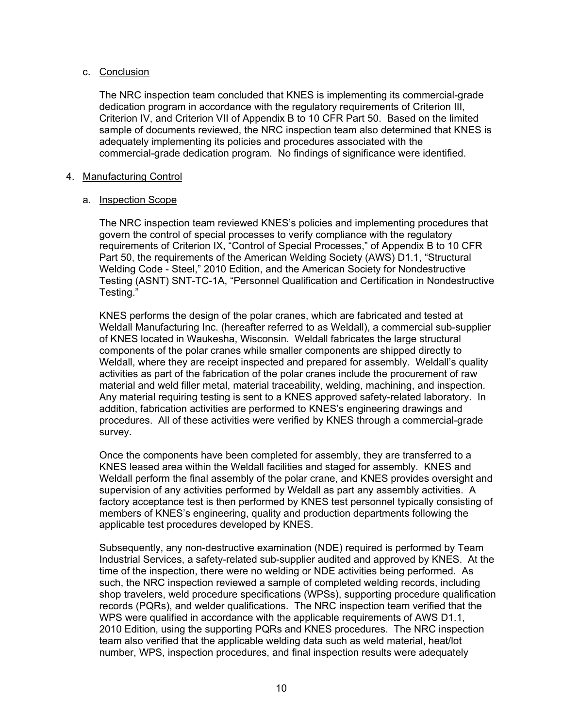## c. Conclusion

The NRC inspection team concluded that KNES is implementing its commercial-grade dedication program in accordance with the regulatory requirements of Criterion III, Criterion IV, and Criterion VII of Appendix B to 10 CFR Part 50. Based on the limited sample of documents reviewed, the NRC inspection team also determined that KNES is adequately implementing its policies and procedures associated with the commercial-grade dedication program. No findings of significance were identified.

#### 4. Manufacturing Control

## a. Inspection Scope

The NRC inspection team reviewed KNES's policies and implementing procedures that govern the control of special processes to verify compliance with the regulatory requirements of Criterion IX, "Control of Special Processes," of Appendix B to 10 CFR Part 50, the requirements of the American Welding Society (AWS) D1.1, "Structural Welding Code - Steel," 2010 Edition, and the American Society for Nondestructive Testing (ASNT) SNT-TC-1A, "Personnel Qualification and Certification in Nondestructive Testing."

KNES performs the design of the polar cranes, which are fabricated and tested at Weldall Manufacturing Inc. (hereafter referred to as Weldall), a commercial sub-supplier of KNES located in Waukesha, Wisconsin. Weldall fabricates the large structural components of the polar cranes while smaller components are shipped directly to Weldall, where they are receipt inspected and prepared for assembly. Weldall's quality activities as part of the fabrication of the polar cranes include the procurement of raw material and weld filler metal, material traceability, welding, machining, and inspection. Any material requiring testing is sent to a KNES approved safety-related laboratory. In addition, fabrication activities are performed to KNES's engineering drawings and procedures. All of these activities were verified by KNES through a commercial-grade survey.

Once the components have been completed for assembly, they are transferred to a KNES leased area within the Weldall facilities and staged for assembly. KNES and Weldall perform the final assembly of the polar crane, and KNES provides oversight and supervision of any activities performed by Weldall as part any assembly activities. A factory acceptance test is then performed by KNES test personnel typically consisting of members of KNES's engineering, quality and production departments following the applicable test procedures developed by KNES.

Subsequently, any non-destructive examination (NDE) required is performed by Team Industrial Services, a safety-related sub-supplier audited and approved by KNES. At the time of the inspection, there were no welding or NDE activities being performed. As such, the NRC inspection reviewed a sample of completed welding records, including shop travelers, weld procedure specifications (WPSs), supporting procedure qualification records (PQRs), and welder qualifications. The NRC inspection team verified that the WPS were qualified in accordance with the applicable requirements of AWS D1.1, 2010 Edition, using the supporting PQRs and KNES procedures. The NRC inspection team also verified that the applicable welding data such as weld material, heat/lot number, WPS, inspection procedures, and final inspection results were adequately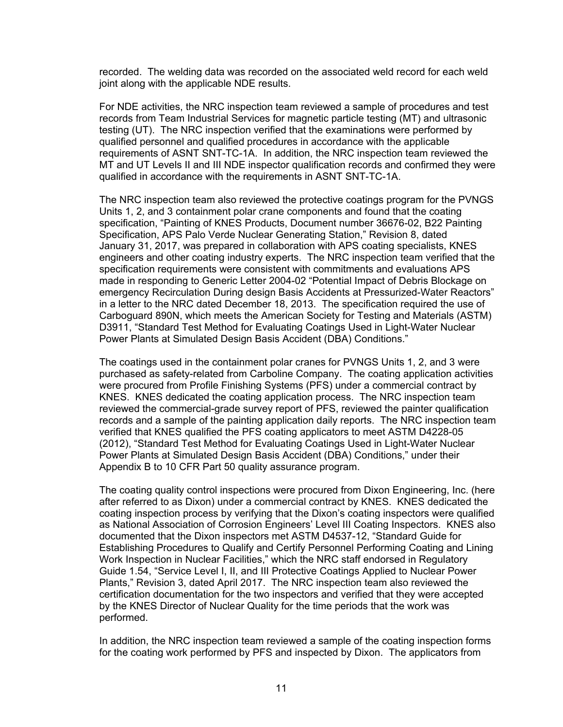recorded. The welding data was recorded on the associated weld record for each weld joint along with the applicable NDE results.

For NDE activities, the NRC inspection team reviewed a sample of procedures and test records from Team Industrial Services for magnetic particle testing (MT) and ultrasonic testing (UT). The NRC inspection verified that the examinations were performed by qualified personnel and qualified procedures in accordance with the applicable requirements of ASNT SNT-TC-1A. In addition, the NRC inspection team reviewed the MT and UT Levels II and III NDE inspector qualification records and confirmed they were qualified in accordance with the requirements in ASNT SNT-TC-1A.

The NRC inspection team also reviewed the protective coatings program for the PVNGS Units 1, 2, and 3 containment polar crane components and found that the coating specification, "Painting of KNES Products, Document number 36676-02, B22 Painting Specification, APS Palo Verde Nuclear Generating Station," Revision 8, dated January 31, 2017, was prepared in collaboration with APS coating specialists, KNES engineers and other coating industry experts. The NRC inspection team verified that the specification requirements were consistent with commitments and evaluations APS made in responding to Generic Letter 2004-02 "Potential Impact of Debris Blockage on emergency Recirculation During design Basis Accidents at Pressurized-Water Reactors" in a letter to the NRC dated December 18, 2013. The specification required the use of Carboguard 890N, which meets the American Society for Testing and Materials (ASTM) D3911, "Standard Test Method for Evaluating Coatings Used in Light-Water Nuclear Power Plants at Simulated Design Basis Accident (DBA) Conditions."

The coatings used in the containment polar cranes for PVNGS Units 1, 2, and 3 were purchased as safety-related from Carboline Company. The coating application activities were procured from Profile Finishing Systems (PFS) under a commercial contract by KNES. KNES dedicated the coating application process. The NRC inspection team reviewed the commercial-grade survey report of PFS, reviewed the painter qualification records and a sample of the painting application daily reports. The NRC inspection team verified that KNES qualified the PFS coating applicators to meet ASTM D4228-05 (2012), "Standard Test Method for Evaluating Coatings Used in Light-Water Nuclear Power Plants at Simulated Design Basis Accident (DBA) Conditions," under their Appendix B to 10 CFR Part 50 quality assurance program.

The coating quality control inspections were procured from Dixon Engineering, Inc. (here after referred to as Dixon) under a commercial contract by KNES. KNES dedicated the coating inspection process by verifying that the Dixon's coating inspectors were qualified as National Association of Corrosion Engineers' Level III Coating Inspectors. KNES also documented that the Dixon inspectors met ASTM D4537-12, "Standard Guide for Establishing Procedures to Qualify and Certify Personnel Performing Coating and Lining Work Inspection in Nuclear Facilities," which the NRC staff endorsed in Regulatory Guide 1.54, "Service Level I, II, and III Protective Coatings Applied to Nuclear Power Plants," Revision 3, dated April 2017. The NRC inspection team also reviewed the certification documentation for the two inspectors and verified that they were accepted by the KNES Director of Nuclear Quality for the time periods that the work was performed.

In addition, the NRC inspection team reviewed a sample of the coating inspection forms for the coating work performed by PFS and inspected by Dixon. The applicators from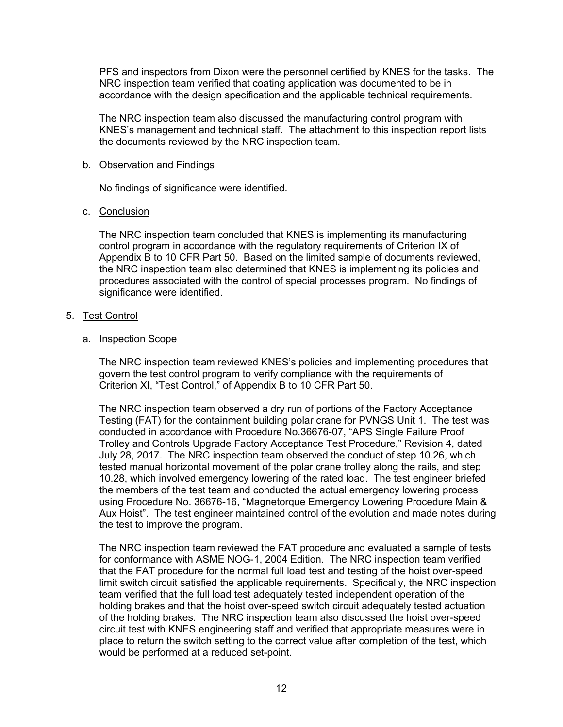PFS and inspectors from Dixon were the personnel certified by KNES for the tasks. The NRC inspection team verified that coating application was documented to be in accordance with the design specification and the applicable technical requirements.

The NRC inspection team also discussed the manufacturing control program with KNES's management and technical staff. The attachment to this inspection report lists the documents reviewed by the NRC inspection team.

## b. Observation and Findings

No findings of significance were identified.

## c. Conclusion

The NRC inspection team concluded that KNES is implementing its manufacturing control program in accordance with the regulatory requirements of Criterion IX of Appendix B to 10 CFR Part 50. Based on the limited sample of documents reviewed, the NRC inspection team also determined that KNES is implementing its policies and procedures associated with the control of special processes program. No findings of significance were identified.

## 5. Test Control

## a. Inspection Scope

The NRC inspection team reviewed KNES's policies and implementing procedures that govern the test control program to verify compliance with the requirements of Criterion XI, "Test Control," of Appendix B to 10 CFR Part 50.

The NRC inspection team observed a dry run of portions of the Factory Acceptance Testing (FAT) for the containment building polar crane for PVNGS Unit 1. The test was conducted in accordance with Procedure No.36676-07, "APS Single Failure Proof Trolley and Controls Upgrade Factory Acceptance Test Procedure," Revision 4, dated July 28, 2017. The NRC inspection team observed the conduct of step 10.26, which tested manual horizontal movement of the polar crane trolley along the rails, and step 10.28, which involved emergency lowering of the rated load. The test engineer briefed the members of the test team and conducted the actual emergency lowering process using Procedure No. 36676-16, "Magnetorque Emergency Lowering Procedure Main & Aux Hoist". The test engineer maintained control of the evolution and made notes during the test to improve the program.

The NRC inspection team reviewed the FAT procedure and evaluated a sample of tests for conformance with ASME NOG-1, 2004 Edition. The NRC inspection team verified that the FAT procedure for the normal full load test and testing of the hoist over-speed limit switch circuit satisfied the applicable requirements. Specifically, the NRC inspection team verified that the full load test adequately tested independent operation of the holding brakes and that the hoist over-speed switch circuit adequately tested actuation of the holding brakes. The NRC inspection team also discussed the hoist over-speed circuit test with KNES engineering staff and verified that appropriate measures were in place to return the switch setting to the correct value after completion of the test, which would be performed at a reduced set-point.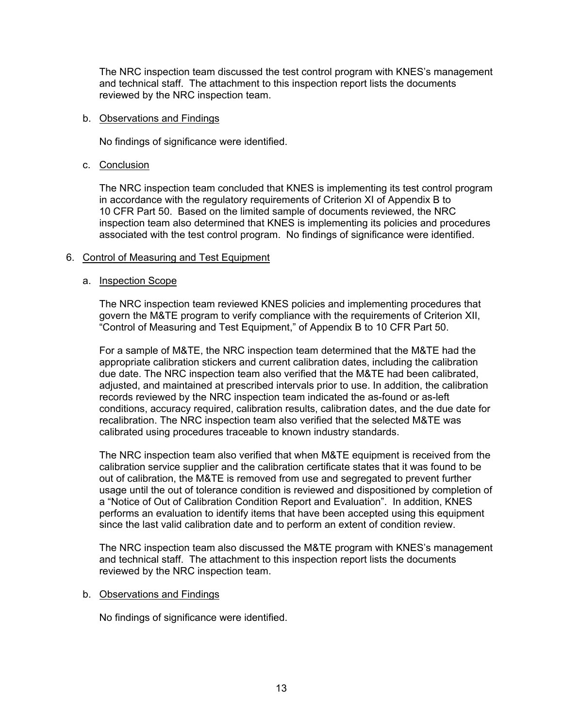The NRC inspection team discussed the test control program with KNES's management and technical staff. The attachment to this inspection report lists the documents reviewed by the NRC inspection team.

#### b. Observations and Findings

No findings of significance were identified.

## c. Conclusion

The NRC inspection team concluded that KNES is implementing its test control program in accordance with the regulatory requirements of Criterion XI of Appendix B to 10 CFR Part 50. Based on the limited sample of documents reviewed, the NRC inspection team also determined that KNES is implementing its policies and procedures associated with the test control program. No findings of significance were identified.

## 6. Control of Measuring and Test Equipment

## a. Inspection Scope

The NRC inspection team reviewed KNES policies and implementing procedures that govern the M&TE program to verify compliance with the requirements of Criterion XII, "Control of Measuring and Test Equipment," of Appendix B to 10 CFR Part 50.

For a sample of M&TE, the NRC inspection team determined that the M&TE had the appropriate calibration stickers and current calibration dates, including the calibration due date. The NRC inspection team also verified that the M&TE had been calibrated, adjusted, and maintained at prescribed intervals prior to use. In addition, the calibration records reviewed by the NRC inspection team indicated the as-found or as-left conditions, accuracy required, calibration results, calibration dates, and the due date for recalibration. The NRC inspection team also verified that the selected M&TE was calibrated using procedures traceable to known industry standards.

The NRC inspection team also verified that when M&TE equipment is received from the calibration service supplier and the calibration certificate states that it was found to be out of calibration, the M&TE is removed from use and segregated to prevent further usage until the out of tolerance condition is reviewed and dispositioned by completion of a "Notice of Out of Calibration Condition Report and Evaluation". In addition, KNES performs an evaluation to identify items that have been accepted using this equipment since the last valid calibration date and to perform an extent of condition review.

The NRC inspection team also discussed the M&TE program with KNES's management and technical staff. The attachment to this inspection report lists the documents reviewed by the NRC inspection team.

## b. Observations and Findings

No findings of significance were identified.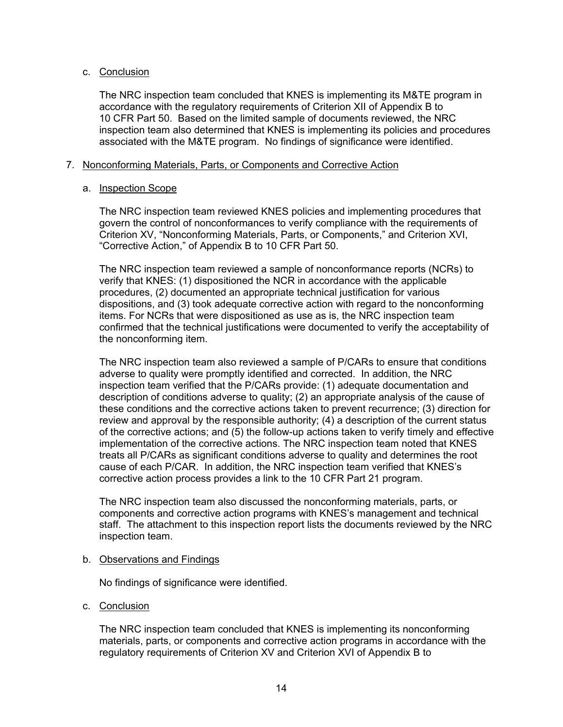## c. Conclusion

The NRC inspection team concluded that KNES is implementing its M&TE program in accordance with the regulatory requirements of Criterion XII of Appendix B to 10 CFR Part 50. Based on the limited sample of documents reviewed, the NRC inspection team also determined that KNES is implementing its policies and procedures associated with the M&TE program. No findings of significance were identified.

## 7. Nonconforming Materials, Parts, or Components and Corrective Action

## a. Inspection Scope

The NRC inspection team reviewed KNES policies and implementing procedures that govern the control of nonconformances to verify compliance with the requirements of Criterion XV, "Nonconforming Materials, Parts, or Components," and Criterion XVI, "Corrective Action," of Appendix B to 10 CFR Part 50.

The NRC inspection team reviewed a sample of nonconformance reports (NCRs) to verify that KNES: (1) dispositioned the NCR in accordance with the applicable procedures, (2) documented an appropriate technical justification for various dispositions, and (3) took adequate corrective action with regard to the nonconforming items. For NCRs that were dispositioned as use as is, the NRC inspection team confirmed that the technical justifications were documented to verify the acceptability of the nonconforming item.

The NRC inspection team also reviewed a sample of P/CARs to ensure that conditions adverse to quality were promptly identified and corrected. In addition, the NRC inspection team verified that the P/CARs provide: (1) adequate documentation and description of conditions adverse to quality; (2) an appropriate analysis of the cause of these conditions and the corrective actions taken to prevent recurrence; (3) direction for review and approval by the responsible authority; (4) a description of the current status of the corrective actions; and (5) the follow-up actions taken to verify timely and effective implementation of the corrective actions. The NRC inspection team noted that KNES treats all P/CARs as significant conditions adverse to quality and determines the root cause of each P/CAR. In addition, the NRC inspection team verified that KNES's corrective action process provides a link to the 10 CFR Part 21 program.

The NRC inspection team also discussed the nonconforming materials, parts, or components and corrective action programs with KNES's management and technical staff. The attachment to this inspection report lists the documents reviewed by the NRC inspection team.

## b. Observations and Findings

No findings of significance were identified.

c. Conclusion

The NRC inspection team concluded that KNES is implementing its nonconforming materials, parts, or components and corrective action programs in accordance with the regulatory requirements of Criterion XV and Criterion XVI of Appendix B to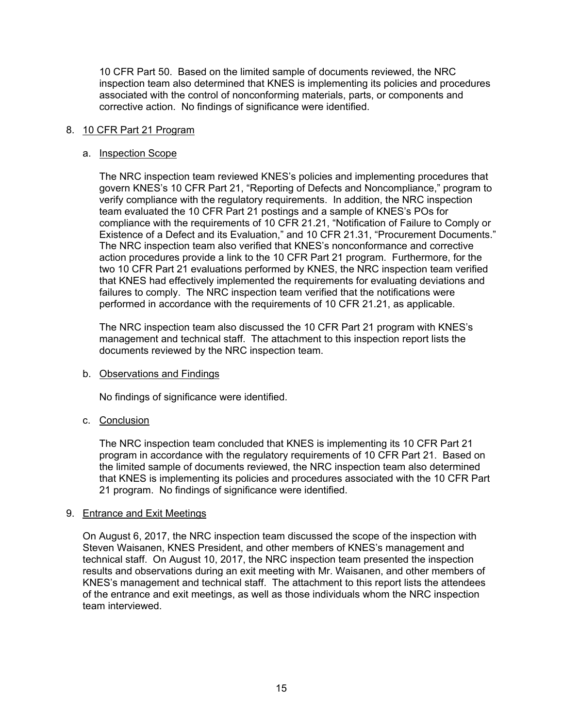10 CFR Part 50. Based on the limited sample of documents reviewed, the NRC inspection team also determined that KNES is implementing its policies and procedures associated with the control of nonconforming materials, parts, or components and corrective action. No findings of significance were identified.

## 8. 10 CFR Part 21 Program

#### a. Inspection Scope

The NRC inspection team reviewed KNES's policies and implementing procedures that govern KNES's 10 CFR Part 21, "Reporting of Defects and Noncompliance," program to verify compliance with the regulatory requirements. In addition, the NRC inspection team evaluated the 10 CFR Part 21 postings and a sample of KNES's POs for compliance with the requirements of 10 CFR 21.21, "Notification of Failure to Comply or Existence of a Defect and its Evaluation," and 10 CFR 21.31, "Procurement Documents." The NRC inspection team also verified that KNES's nonconformance and corrective action procedures provide a link to the 10 CFR Part 21 program. Furthermore, for the two 10 CFR Part 21 evaluations performed by KNES, the NRC inspection team verified that KNES had effectively implemented the requirements for evaluating deviations and failures to comply. The NRC inspection team verified that the notifications were performed in accordance with the requirements of 10 CFR 21.21, as applicable.

The NRC inspection team also discussed the 10 CFR Part 21 program with KNES's management and technical staff. The attachment to this inspection report lists the documents reviewed by the NRC inspection team.

#### b. Observations and Findings

No findings of significance were identified.

## c. Conclusion

The NRC inspection team concluded that KNES is implementing its 10 CFR Part 21 program in accordance with the regulatory requirements of 10 CFR Part 21. Based on the limited sample of documents reviewed, the NRC inspection team also determined that KNES is implementing its policies and procedures associated with the 10 CFR Part 21 program. No findings of significance were identified.

#### 9. Entrance and Exit Meetings

On August 6, 2017, the NRC inspection team discussed the scope of the inspection with Steven Waisanen, KNES President, and other members of KNES's management and technical staff. On August 10, 2017, the NRC inspection team presented the inspection results and observations during an exit meeting with Mr. Waisanen, and other members of KNES's management and technical staff. The attachment to this report lists the attendees of the entrance and exit meetings, as well as those individuals whom the NRC inspection team interviewed.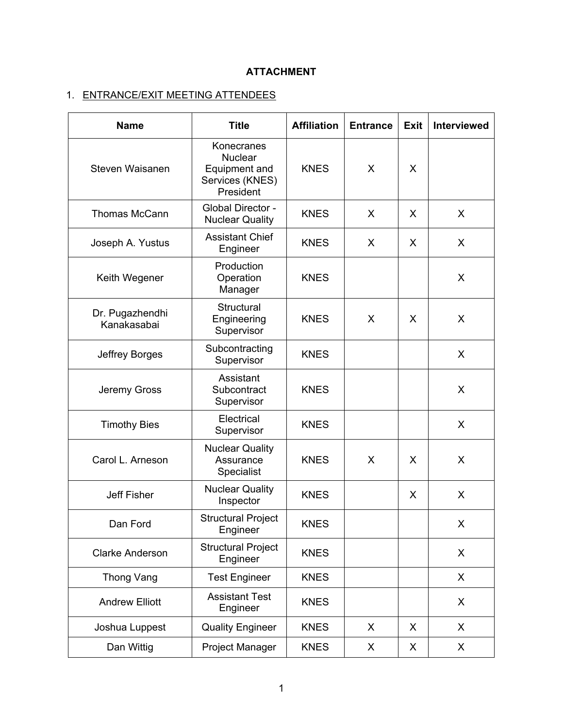# **ATTACHMENT**

# 1. ENTRANCE/EXIT MEETING ATTENDEES

| <b>Name</b>                    | <b>Title</b>                                                                  | <b>Affiliation</b> | <b>Entrance</b> | <b>Exit</b> | Interviewed |
|--------------------------------|-------------------------------------------------------------------------------|--------------------|-----------------|-------------|-------------|
| Steven Waisanen                | Konecranes<br><b>Nuclear</b><br>Equipment and<br>Services (KNES)<br>President | <b>KNES</b>        | X               | X           |             |
| <b>Thomas McCann</b>           | Global Director -<br><b>Nuclear Quality</b>                                   | <b>KNES</b>        | X               | X           | X           |
| Joseph A. Yustus               | <b>Assistant Chief</b><br>Engineer                                            | <b>KNES</b>        | X               | X           | X           |
| Keith Wegener                  | Production<br>Operation<br>Manager                                            | <b>KNES</b>        |                 |             | X           |
| Dr. Pugazhendhi<br>Kanakasabai | Structural<br>Engineering<br>Supervisor                                       | <b>KNES</b>        | X               | X           | X           |
| Jeffrey Borges                 | Subcontracting<br>Supervisor                                                  | <b>KNES</b>        |                 |             | X           |
| Jeremy Gross                   | Assistant<br>Subcontract<br>Supervisor                                        | <b>KNES</b>        |                 |             | X           |
| <b>Timothy Bies</b>            | Electrical<br>Supervisor                                                      | <b>KNES</b>        |                 |             | X           |
| Carol L. Arneson               | <b>Nuclear Quality</b><br>Assurance<br>Specialist                             | <b>KNES</b>        | X               | X           | X           |
| <b>Jeff Fisher</b>             | <b>Nuclear Quality</b><br>Inspector                                           | <b>KNES</b>        |                 | X           | X           |
| Dan Ford                       | <b>Structural Project</b><br>Engineer                                         | <b>KNES</b>        |                 |             | X           |
| <b>Clarke Anderson</b>         | <b>Structural Project</b><br>Engineer                                         | <b>KNES</b>        |                 |             | X           |
| Thong Vang                     | <b>Test Engineer</b>                                                          | <b>KNES</b>        |                 |             | X           |
| <b>Andrew Elliott</b>          | <b>Assistant Test</b><br>Engineer                                             | <b>KNES</b>        |                 |             | X           |
| Joshua Luppest                 | <b>Quality Engineer</b>                                                       | <b>KNES</b>        | X               | X           | X           |
| Dan Wittig                     | Project Manager                                                               | <b>KNES</b>        | X               | X           | X           |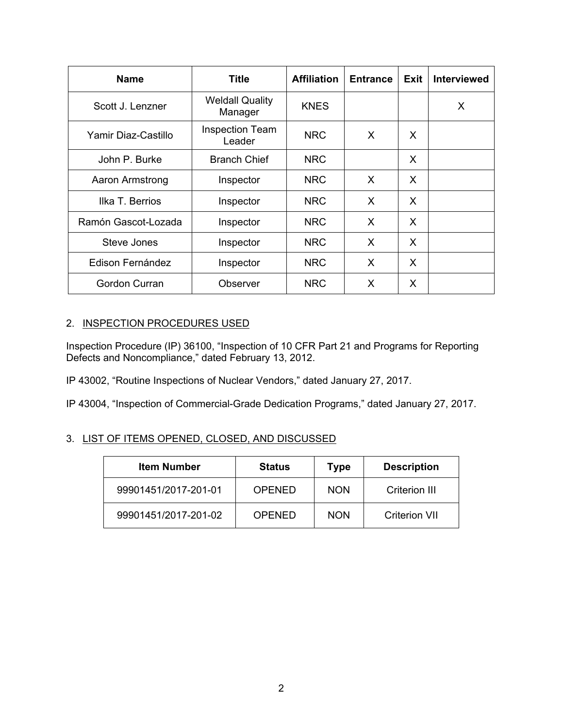| <b>Name</b>         | <b>Title</b>                      | <b>Affiliation</b> | <b>Entrance</b> | Exit | <b>Interviewed</b> |
|---------------------|-----------------------------------|--------------------|-----------------|------|--------------------|
| Scott J. Lenzner    | <b>Weldall Quality</b><br>Manager | <b>KNES</b>        |                 |      | X                  |
| Yamir Diaz-Castillo | <b>Inspection Team</b><br>Leader  | <b>NRC</b>         | X               | X    |                    |
| John P. Burke       | <b>Branch Chief</b>               | <b>NRC</b>         |                 | X    |                    |
| Aaron Armstrong     | Inspector                         | <b>NRC</b>         | X               | X    |                    |
| Ilka T. Berrios     | Inspector                         | <b>NRC</b>         | X               | X    |                    |
| Ramón Gascot-Lozada | Inspector                         | <b>NRC</b>         | X               | X    |                    |
| Steve Jones         | Inspector                         | <b>NRC</b>         | X               | X    |                    |
| Edison Fernández    | Inspector                         | <b>NRC</b>         | X               | X    |                    |
| Gordon Curran       | Observer                          | <b>NRC</b>         | X               | X    |                    |

## 2. INSPECTION PROCEDURES USED

Inspection Procedure (IP) 36100, "Inspection of 10 CFR Part 21 and Programs for Reporting Defects and Noncompliance," dated February 13, 2012.

IP 43002, "Routine Inspections of Nuclear Vendors," dated January 27, 2017.

IP 43004, "Inspection of Commercial-Grade Dedication Programs," dated January 27, 2017.

# 3. LIST OF ITEMS OPENED, CLOSED, AND DISCUSSED

| <b>Item Number</b>   | <b>Status</b> | <b>Type</b> | <b>Description</b> |
|----------------------|---------------|-------------|--------------------|
| 99901451/2017-201-01 | <b>OPENED</b> | <b>NON</b>  | Criterion III      |
| 99901451/2017-201-02 | OPENED        | <b>NON</b>  | Criterion VII      |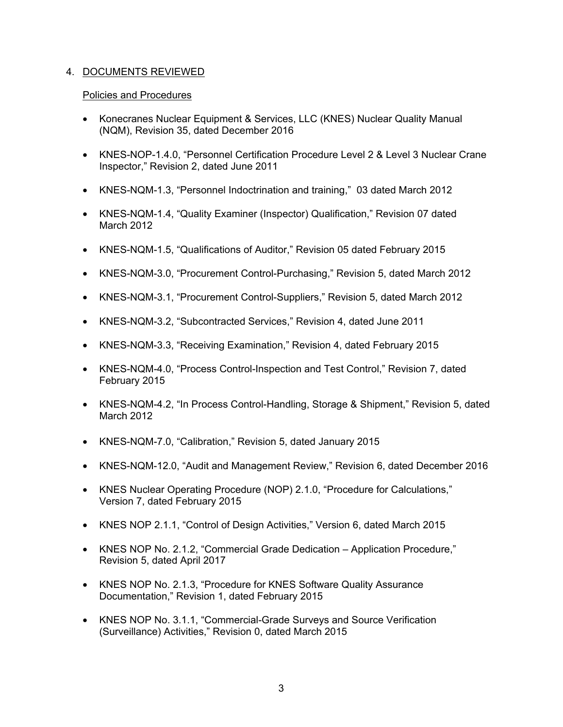## 4. DOCUMENTS REVIEWED

#### Policies and Procedures

- Konecranes Nuclear Equipment & Services, LLC (KNES) Nuclear Quality Manual (NQM), Revision 35, dated December 2016
- KNES-NOP-1.4.0, "Personnel Certification Procedure Level 2 & Level 3 Nuclear Crane Inspector," Revision 2, dated June 2011
- KNES-NQM-1.3, "Personnel Indoctrination and training," 03 dated March 2012
- KNES-NQM-1.4, "Quality Examiner (Inspector) Qualification," Revision 07 dated March 2012
- KNES-NQM-1.5, "Qualifications of Auditor," Revision 05 dated February 2015
- KNES-NQM-3.0, "Procurement Control-Purchasing," Revision 5, dated March 2012
- KNES-NQM-3.1, "Procurement Control-Suppliers," Revision 5, dated March 2012
- KNES-NQM-3.2, "Subcontracted Services," Revision 4, dated June 2011
- KNES-NQM-3.3, "Receiving Examination," Revision 4, dated February 2015
- KNES-NQM-4.0, "Process Control-Inspection and Test Control," Revision 7, dated February 2015
- KNES-NQM-4.2, "In Process Control-Handling, Storage & Shipment," Revision 5, dated March 2012
- KNES-NQM-7.0, "Calibration," Revision 5, dated January 2015
- KNES-NQM-12.0, "Audit and Management Review," Revision 6, dated December 2016
- KNES Nuclear Operating Procedure (NOP) 2.1.0, "Procedure for Calculations," Version 7, dated February 2015
- KNES NOP 2.1.1, "Control of Design Activities," Version 6, dated March 2015
- KNES NOP No. 2.1.2, "Commercial Grade Dedication Application Procedure," Revision 5, dated April 2017
- KNES NOP No. 2.1.3, "Procedure for KNES Software Quality Assurance Documentation," Revision 1, dated February 2015
- KNES NOP No. 3.1.1, "Commercial-Grade Surveys and Source Verification (Surveillance) Activities," Revision 0, dated March 2015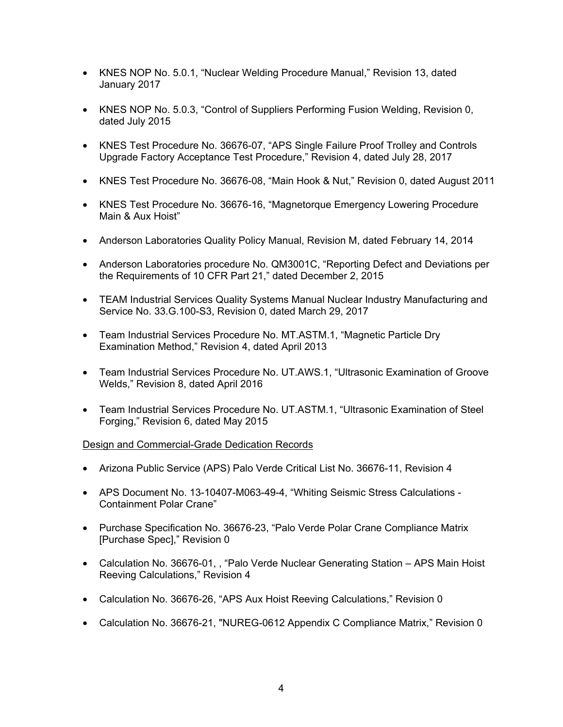- KNES NOP No. 5.0.1, "Nuclear Welding Procedure Manual," Revision 13, dated January 2017
- KNES NOP No. 5.0.3, "Control of Suppliers Performing Fusion Welding, Revision 0, dated July 2015
- KNES Test Procedure No. 36676-07, "APS Single Failure Proof Trolley and Controls Upgrade Factory Acceptance Test Procedure," Revision 4, dated July 28, 2017
- KNES Test Procedure No. 36676-08, "Main Hook & Nut," Revision 0, dated August 2011
- KNES Test Procedure No. 36676-16, "Magnetorque Emergency Lowering Procedure Main & Aux Hoist"
- Anderson Laboratories Quality Policy Manual, Revision M, dated February 14, 2014
- Anderson Laboratories procedure No. QM3001C, "Reporting Defect and Deviations per the Requirements of 10 CFR Part 21," dated December 2, 2015
- TEAM Industrial Services Quality Systems Manual Nuclear Industry Manufacturing and Service No. 33.G.100-S3, Revision 0, dated March 29, 2017
- Team Industrial Services Procedure No. MT.ASTM.1, "Magnetic Particle Dry Examination Method," Revision 4, dated April 2013
- Team Industrial Services Procedure No. UT.AWS.1, "Ultrasonic Examination of Groove Welds," Revision 8, dated April 2016
- Team Industrial Services Procedure No. UT.ASTM.1, "Ultrasonic Examination of Steel Forging," Revision 6, dated May 2015

#### Design and Commercial-Grade Dedication Records

- Arizona Public Service (APS) Palo Verde Critical List No. 36676-11, Revision 4
- APS Document No. 13-10407-M063-49-4, "Whiting Seismic Stress Calculations Containment Polar Crane"
- Purchase Specification No. 36676-23, "Palo Verde Polar Crane Compliance Matrix [Purchase Spec]," Revision 0
- Calculation No. 36676-01, , "Palo Verde Nuclear Generating Station APS Main Hoist Reeving Calculations," Revision 4
- Calculation No. 36676-26, "APS Aux Hoist Reeving Calculations," Revision 0
- Calculation No. 36676-21, "NUREG-0612 Appendix C Compliance Matrix," Revision 0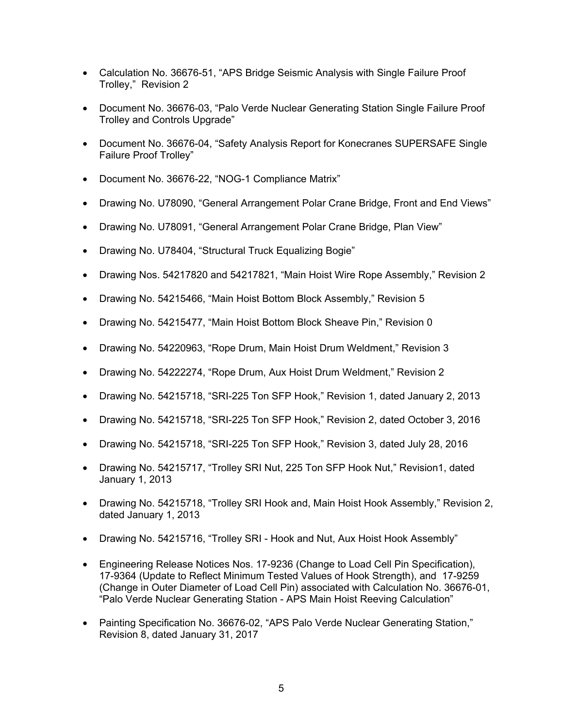- Calculation No. 36676-51, "APS Bridge Seismic Analysis with Single Failure Proof Trolley," Revision 2
- Document No. 36676-03, "Palo Verde Nuclear Generating Station Single Failure Proof Trolley and Controls Upgrade"
- Document No. 36676-04, "Safety Analysis Report for Konecranes SUPERSAFE Single Failure Proof Trolley"
- Document No. 36676-22, "NOG-1 Compliance Matrix"
- Drawing No. U78090, "General Arrangement Polar Crane Bridge, Front and End Views"
- Drawing No. U78091, "General Arrangement Polar Crane Bridge, Plan View"
- Drawing No. U78404, "Structural Truck Equalizing Bogie"
- Drawing Nos. 54217820 and 54217821, "Main Hoist Wire Rope Assembly," Revision 2
- Drawing No. 54215466, "Main Hoist Bottom Block Assembly," Revision 5
- Drawing No. 54215477, "Main Hoist Bottom Block Sheave Pin," Revision 0
- Drawing No. 54220963, "Rope Drum, Main Hoist Drum Weldment," Revision 3
- Drawing No. 54222274, "Rope Drum, Aux Hoist Drum Weldment," Revision 2
- Drawing No. 54215718, "SRI-225 Ton SFP Hook," Revision 1, dated January 2, 2013
- Drawing No. 54215718, "SRI-225 Ton SFP Hook," Revision 2, dated October 3, 2016
- Drawing No. 54215718, "SRI-225 Ton SFP Hook," Revision 3, dated July 28, 2016
- Drawing No. 54215717, "Trolley SRI Nut, 225 Ton SFP Hook Nut," Revision1, dated January 1, 2013
- Drawing No. 54215718, "Trolley SRI Hook and, Main Hoist Hook Assembly," Revision 2, dated January 1, 2013
- Drawing No. 54215716, "Trolley SRI Hook and Nut, Aux Hoist Hook Assembly"
- Engineering Release Notices Nos. 17-9236 (Change to Load Cell Pin Specification), 17-9364 (Update to Reflect Minimum Tested Values of Hook Strength), and 17-9259 (Change in Outer Diameter of Load Cell Pin) associated with Calculation No. 36676-01, "Palo Verde Nuclear Generating Station - APS Main Hoist Reeving Calculation"
- Painting Specification No. 36676-02, "APS Palo Verde Nuclear Generating Station," Revision 8, dated January 31, 2017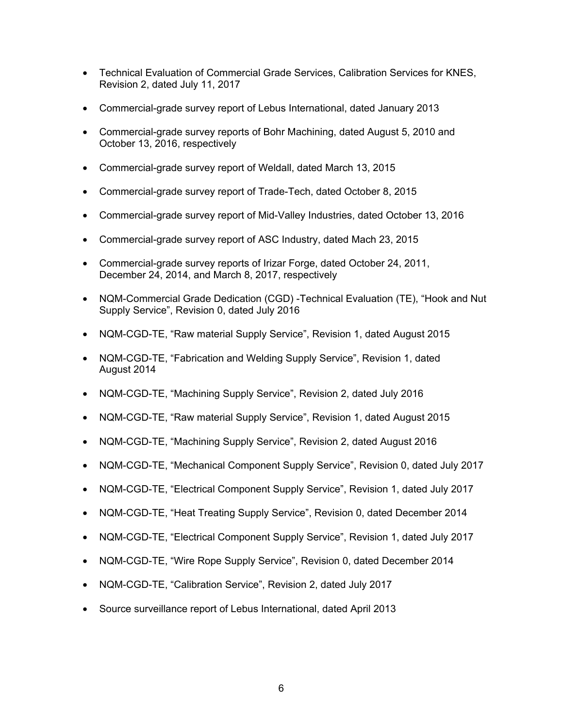- Technical Evaluation of Commercial Grade Services, Calibration Services for KNES, Revision 2, dated July 11, 2017
- Commercial-grade survey report of Lebus International, dated January 2013
- Commercial-grade survey reports of Bohr Machining, dated August 5, 2010 and October 13, 2016, respectively
- Commercial-grade survey report of Weldall, dated March 13, 2015
- Commercial-grade survey report of Trade-Tech, dated October 8, 2015
- Commercial-grade survey report of Mid-Valley Industries, dated October 13, 2016
- Commercial-grade survey report of ASC Industry, dated Mach 23, 2015
- Commercial-grade survey reports of Irizar Forge, dated October 24, 2011, December 24, 2014, and March 8, 2017, respectively
- NQM-Commercial Grade Dedication (CGD) -Technical Evaluation (TE), "Hook and Nut Supply Service", Revision 0, dated July 2016
- NQM-CGD-TE, "Raw material Supply Service", Revision 1, dated August 2015
- NQM-CGD-TE, "Fabrication and Welding Supply Service", Revision 1, dated August 2014
- NQM-CGD-TE, "Machining Supply Service", Revision 2, dated July 2016
- NQM-CGD-TE, "Raw material Supply Service", Revision 1, dated August 2015
- NQM-CGD-TE, "Machining Supply Service", Revision 2, dated August 2016
- NQM-CGD-TE, "Mechanical Component Supply Service", Revision 0, dated July 2017
- NQM-CGD-TE, "Electrical Component Supply Service", Revision 1, dated July 2017
- NQM-CGD-TE, "Heat Treating Supply Service", Revision 0, dated December 2014
- NQM-CGD-TE, "Electrical Component Supply Service", Revision 1, dated July 2017
- NQM-CGD-TE, "Wire Rope Supply Service", Revision 0, dated December 2014
- NQM-CGD-TE, "Calibration Service", Revision 2, dated July 2017
- Source surveillance report of Lebus International, dated April 2013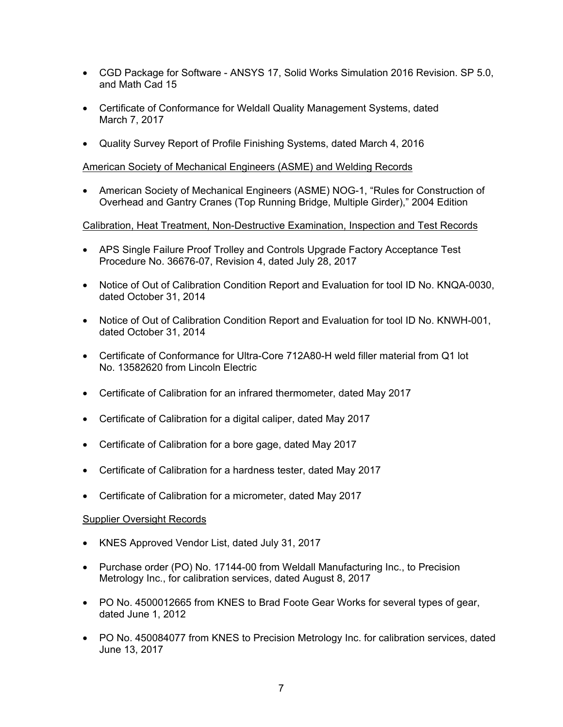- CGD Package for Software ANSYS 17, Solid Works Simulation 2016 Revision. SP 5.0, and Math Cad 15
- Certificate of Conformance for Weldall Quality Management Systems, dated March 7, 2017
- Quality Survey Report of Profile Finishing Systems, dated March 4, 2016

## American Society of Mechanical Engineers (ASME) and Welding Records

• American Society of Mechanical Engineers (ASME) NOG-1, "Rules for Construction of Overhead and Gantry Cranes (Top Running Bridge, Multiple Girder)," 2004 Edition

## Calibration, Heat Treatment, Non-Destructive Examination, Inspection and Test Records

- APS Single Failure Proof Trolley and Controls Upgrade Factory Acceptance Test Procedure No. 36676-07, Revision 4, dated July 28, 2017
- Notice of Out of Calibration Condition Report and Evaluation for tool ID No. KNQA-0030, dated October 31, 2014
- Notice of Out of Calibration Condition Report and Evaluation for tool ID No. KNWH-001, dated October 31, 2014
- Certificate of Conformance for Ultra-Core 712A80-H weld filler material from Q1 lot No. 13582620 from Lincoln Electric
- Certificate of Calibration for an infrared thermometer, dated May 2017
- Certificate of Calibration for a digital caliper, dated May 2017
- Certificate of Calibration for a bore gage, dated May 2017
- Certificate of Calibration for a hardness tester, dated May 2017
- Certificate of Calibration for a micrometer, dated May 2017

## Supplier Oversight Records

- KNES Approved Vendor List, dated July 31, 2017
- Purchase order (PO) No. 17144-00 from Weldall Manufacturing Inc., to Precision Metrology Inc., for calibration services, dated August 8, 2017
- PO No. 4500012665 from KNES to Brad Foote Gear Works for several types of gear, dated June 1, 2012
- PO No. 450084077 from KNES to Precision Metrology Inc. for calibration services, dated June 13, 2017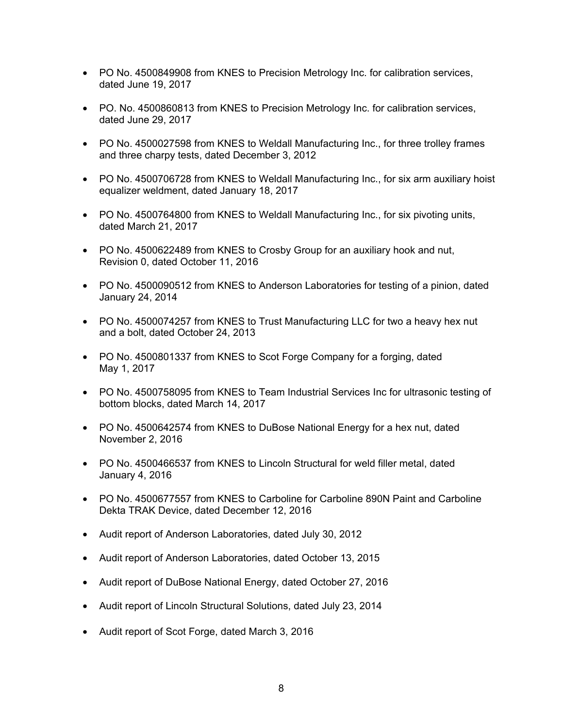- PO No. 4500849908 from KNES to Precision Metrology Inc. for calibration services, dated June 19, 2017
- PO. No. 4500860813 from KNES to Precision Metrology Inc. for calibration services, dated June 29, 2017
- PO No. 4500027598 from KNES to Weldall Manufacturing Inc., for three trolley frames and three charpy tests, dated December 3, 2012
- PO No. 4500706728 from KNES to Weldall Manufacturing Inc., for six arm auxiliary hoist equalizer weldment, dated January 18, 2017
- PO No. 4500764800 from KNES to Weldall Manufacturing Inc., for six pivoting units, dated March 21, 2017
- PO No. 4500622489 from KNES to Crosby Group for an auxiliary hook and nut, Revision 0, dated October 11, 2016
- PO No. 4500090512 from KNES to Anderson Laboratories for testing of a pinion, dated January 24, 2014
- PO No. 4500074257 from KNES to Trust Manufacturing LLC for two a heavy hex nut and a bolt, dated October 24, 2013
- PO No. 4500801337 from KNES to Scot Forge Company for a forging, dated May 1, 2017
- PO No. 4500758095 from KNES to Team Industrial Services Inc for ultrasonic testing of bottom blocks, dated March 14, 2017
- PO No. 4500642574 from KNES to DuBose National Energy for a hex nut, dated November 2, 2016
- PO No. 4500466537 from KNES to Lincoln Structural for weld filler metal, dated January 4, 2016
- PO No. 4500677557 from KNES to Carboline for Carboline 890N Paint and Carboline Dekta TRAK Device, dated December 12, 2016
- Audit report of Anderson Laboratories, dated July 30, 2012
- Audit report of Anderson Laboratories, dated October 13, 2015
- Audit report of DuBose National Energy, dated October 27, 2016
- Audit report of Lincoln Structural Solutions, dated July 23, 2014
- Audit report of Scot Forge, dated March 3, 2016